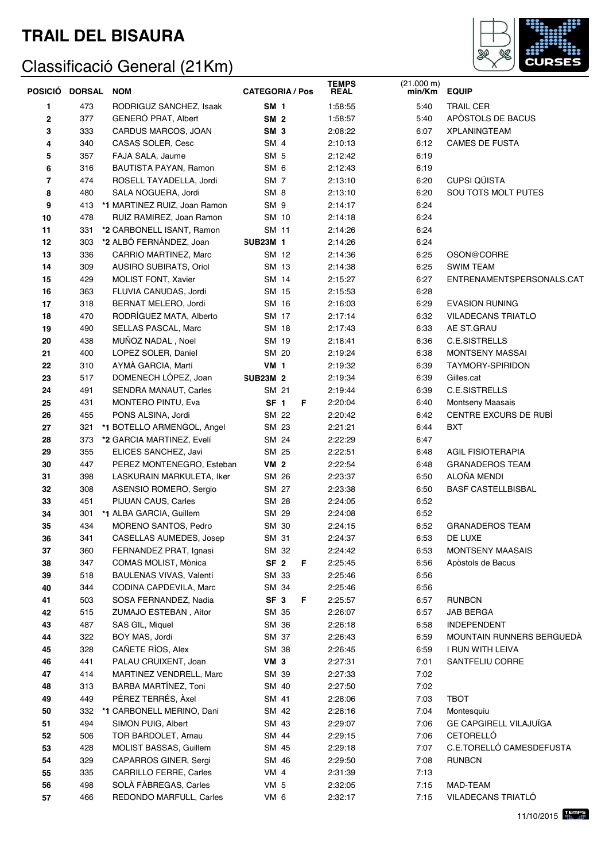

|             | POSICIÓ DORSAL | <b>NOM</b>                   | <b>CATEGORIA / Pos</b> |   | <b>TEMPS</b><br><b>REAL</b> | (21.000 m)<br>min/Km | <b>EQUIP</b>                  |
|-------------|----------------|------------------------------|------------------------|---|-----------------------------|----------------------|-------------------------------|
| 1           | 473            | RODRIGUZ SANCHEZ, Isaak      | <b>SM 1</b>            |   | 1:58:55                     | 5:40                 | <b>TRAIL CER</b>              |
| $\mathbf 2$ | 377            | GENERÓ PRAT, Albert          | <b>SM 2</b>            |   | 1:58:57                     | 5:40                 | APÒSTOLS DE BACUS             |
| 3           | 333            | CARDUS MARCOS, JOAN          | SM <sub>3</sub>        |   | 2:08:22                     | 6:07                 | <b>XPLANINGTEAM</b>           |
| 4           | 340            | CASAS SOLER, Cesc            | SM 4                   |   | 2:10:13                     | 6:12                 | <b>CAMES DE FUSTA</b>         |
| 5           | 357            | FAJA SALA, Jaume             | SM <sub>5</sub>        |   | 2:12:42                     | 6:19                 |                               |
| 6           | 316            | BAUTISTA PAYAN, Ramon        | SM <sub>6</sub>        |   | 2:12:43                     | 6:19                 |                               |
| 7           | 474            | ROSELL TAYADELLA, Jordi      | SM <sub>7</sub>        |   | 2:13:10                     | 6:20                 | <b>CUPSI QÜISTA</b>           |
| 8           | 480            | SALA NOGUERA, Jordi          | SM <sub>8</sub>        |   | 2:13:10                     | 6:20                 | SOU TOTS MOLT PUTES           |
| 9           | 413            | *1 MARTINEZ RUIZ, Joan Ramon | SM <sub>9</sub>        |   | 2:14:17                     | 6:24                 |                               |
| 10          | 478            | RUIZ RAMIREZ, Joan Ramon     | SM 10                  |   | 2:14:18                     | 6:24                 |                               |
| 11          | 331            | *2 CARBONELL ISANT, Ramon    | SM 11                  |   | 2:14:26                     | 6:24                 |                               |
| 12          | 303            | *2 ALBÓ FERNÁNDEZ, Joan      | <b>SUB23M 1</b>        |   | 2:14:26                     | 6:24                 |                               |
| 13          | 336            | CARRIO MARTINEZ, Marc        | SM 12                  |   | 2:14:36                     | 6:25                 | OSON@CORRE                    |
| 14          | 309            | AUSIRO SUBIRATS, Oriol       | SM 13                  |   | 2:14:38                     | 6:25                 | <b>SWIM TEAM</b>              |
| 15          | 429            | MOLIST FONT, Xavier          | SM 14                  |   | 2:15:27                     | 6:27                 | ENTRENAMENTSPERSONALS.CAT     |
| 16          | 363            | FLUVIA CANUDAS, Jordi        | SM 15                  |   | 2:15:53                     | 6:28                 |                               |
| 17          | 318            | BERNAT MELERO, Jordi         | SM 16                  |   | 2:16:03                     | 6:29                 | <b>EVASION RUNING</b>         |
| 18          | 470            | RODRÍGUEZ MATA, Alberto      | SM 17                  |   | 2:17:14                     | 6:32                 | <b>VILADECANS TRIATLO</b>     |
| 19          | 490            | SELLAS PASCAL, Marc          | SM 18                  |   | 2:17:43                     | 6:33                 | AE ST.GRAU                    |
| 20          | 438            | MUÑOZ NADAL, Noel            | SM 19                  |   | 2:18:41                     | 6:36                 | <b>C.E.SISTRELLS</b>          |
| 21          | 400            | LOPEZ SOLER, Daniel          | SM 20                  |   | 2:19:24                     | 6:38                 | MONTSENY MASSAI               |
| 22          | 310            | AYMÀ GARCIA, Martí           | <b>VM 1</b>            |   | 2:19:32                     | 6:39                 | <b>TAYMORY-SPIRIDON</b>       |
| 23          | 517            | DOMENECH LOPEZ, Joan         | <b>SUB23M 2</b>        |   | 2:19:34                     | 6:39                 | Gilles.cat                    |
| 24          | 491            | SENDRA MANAUT, Carles        | SM 21                  |   | 2:19:44                     | 6:39                 | <b>C.E.SISTRELLS</b>          |
| 25          | 431            | <b>MONTERO PINTU, Eva</b>    | SF <sub>1</sub>        | F | 2:20:04                     | 6:40                 | <b>Montseny Maasais</b>       |
| 26          | 455            | PONS ALSINA, Jordi           | SM 22                  |   | 2:20:42                     | 6:42                 | CENTRE EXCURS DE RUBÍ         |
| 27          | 321            | *1 BOTELLO ARMENGOL, Angel   | SM 23                  |   | 2:21:21                     | 6:44                 | <b>BXT</b>                    |
| 28          | 373            | *2 GARCIA MARTINEZ, Evelí    | SM 24                  |   | 2:22:29                     | 6:47                 |                               |
| 29          | 355            | ELICES SANCHEZ, Javi         | SM 25                  |   | 2:22:51                     | 6:48                 | <b>AGIL FISIOTERAPIA</b>      |
| 30          | 447            | PEREZ MONTENEGRO, Esteban    | <b>VM 2</b>            |   | 2:22:54                     | 6:48                 | <b>GRANADEROS TEAM</b>        |
| 31          | 398            | LASKURAIN MARKULETA, Iker    | SM 26                  |   | 2:23:37                     | 6:50                 | ALOÑA MENDI                   |
| 32          | 308            | ASENSIO ROMERO, Sergio       | SM 27                  |   | 2:23:38                     | 6:50                 | <b>BASF CASTELLBISBAL</b>     |
| 33          | 451            | PIJUAN CAUS, Carles          | SM 28                  |   | 2:24:05                     | 6:52                 |                               |
| 34          | 301            | *1 ALBA GARCIA, Guillem      | SM 29                  |   | 2:24:08                     | 6:52                 |                               |
| 35          | 434            | MORENO SANTOS, Pedro         | SM 30                  |   | 2:24:15                     | 6:52                 | <b>GRANADEROS TEAM</b>        |
| 36          | 341            | CASELLAS AUMEDES, Josep      | SM 31                  |   | 2:24:37                     | 6:53                 | DE LUXE                       |
| 37          | 360            | FERNANDEZ PRAT, Ignasi       | SM 32                  |   | 2:24:42                     | 6:53                 | <b>MONTSENY MAASAIS</b>       |
| 38          | 347            | COMAS MOLIST, Mònica         | SF <sub>2</sub>        | F | 2:25:45                     | 6:56                 | Apòstols de Bacus             |
| 39          | 518            | BAULENAS VIVAS, Valentí      | SM 33                  |   | 2:25:46                     | 6:56                 |                               |
| 40          | 344            | CODINA CAPDEVILA, Marc       | SM 34                  |   | 2:25:46                     | 6:56                 |                               |
| 41          | 503            | SOSA FERNANDEZ, Nadia        | SF <sub>3</sub>        | F | 2:25:57                     | 6:57                 | <b>RUNBCN</b>                 |
| 42          | 515            | ZUMAJO ESTEBAN, Aitor        | SM 35                  |   | 2:26:07                     | 6:57                 | JAB BERGA                     |
| 43          | 487            | SAS GIL, Miquel              | SM 36                  |   | 2:26:18                     | 6:58                 | <b>INDEPENDENT</b>            |
| 44          | 322            | BOY MAS, Jordi               | SM 37                  |   | 2:26:43                     | 6:59                 | MOUNTAIN RUNNERS BERGUEDA     |
| 45          | 328            | CAÑETE RÍOS, Alex            | SM 38                  |   | 2:26:45                     | 6:59                 | I RUN WITH LEIVA              |
| 46          | 441            | PALAU CRUIXENT, Joan         | VM <sub>3</sub>        |   | 2:27:31                     | 7:01                 | SANTFELIU CORRE               |
| 47          | 414            | MARTINEZ VENDRELL, Marc      | SM 39                  |   | 2:27:33                     | 7:02                 |                               |
| 48          | 313            | BARBA MARTÍNEZ, Toni         | SM 40                  |   | 2:27:50                     | 7:02                 |                               |
| 49          | 449            | PÉREZ TERRÉS, Àxel           | SM 41                  |   | 2:28:06                     | 7:03                 | <b>TBOT</b>                   |
| 50          | 332            | *1 CARBONELL MERINO, Dani    | SM 42                  |   | 2:28:16                     | 7:04                 | Montesquiu                    |
| 51          | 494            | SIMON PUIG, Albert           | SM 43                  |   | 2:29:07                     | 7:06                 | <b>GE CAPGIRELL VILAJUIGA</b> |
| 52          | 506            | TOR BARDOLET, Arnau          | SM 44                  |   | 2:29:15                     | 7:06                 | CETORELLÓ                     |
| 53          | 428            | MOLIST BASSAS, Guillem       | SM 45                  |   | 2:29:18                     | 7:07                 | C.E.TORELLÓ CAMESDEFUSTA      |
| 54          | 329            | CAPARROS GINER, Sergi        | SM 46                  |   | 2:29:50                     | 7:08                 | <b>RUNBCN</b>                 |
| 55          | 335            | CARRILLO FERRE, Carles       | VM 4                   |   | 2:31:39                     | 7:13                 |                               |
| 56          | 498            | SOLÀ FÀBREGAS, Carles        | VM <sub>5</sub>        |   | 2:32:05                     | 7:15                 | MAD-TEAM                      |
| 57          | 466            | REDONDO MARFULL, Carles      | VM 6                   |   | 2:32:17                     | 7:15                 | VILADECANS TRIATLO            |
|             |                |                              |                        |   |                             |                      |                               |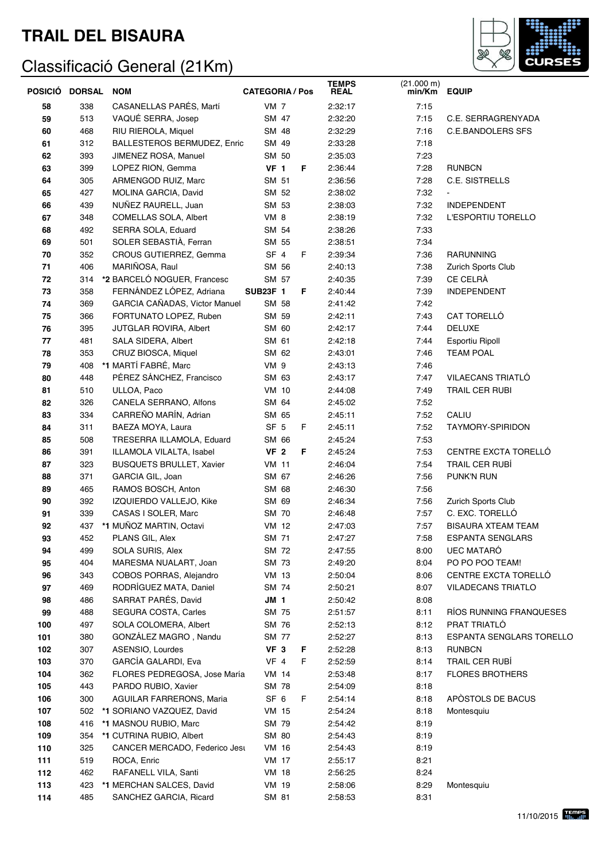

| POSICIO | <b>DORSAL</b> | <b>NOM</b>                         | <b>CATEGORIA / Pos</b> | <b>TEMPS</b><br><b>REAL</b> | $(21.000 \text{ m})$<br>min/Km | <b>EQUIP</b>                    |
|---------|---------------|------------------------------------|------------------------|-----------------------------|--------------------------------|---------------------------------|
| 58      | 338           | CASANELLAS PARÉS, Martí            | <b>VM 7</b>            | 2:32:17                     | 7:15                           |                                 |
| 59      | 513           | VAQUÉ SERRA, Josep                 | SM 47                  | 2:32:20                     | 7:15                           | C.E. SERRAGRENYADA              |
| 60      | 468           | RIU RIEROLA, Miquel                | SM 48                  | 2:32:29                     | 7:16                           | <b>C.E.BANDOLERS SFS</b>        |
| 61      | 312           | <b>BALLESTEROS BERMUDEZ, Enric</b> | SM 49                  | 2:33:28                     | 7:18                           |                                 |
| 62      | 393           | JIMENEZ ROSA, Manuel               | SM 50                  | 2:35:03                     | 7:23                           |                                 |
| 63      | 399           | LOPEZ RION, Gemma                  | VF <sub>1</sub><br>F   | 2:36:44                     | 7:28                           | <b>RUNBCN</b>                   |
| 64      | 305           | ARMENGOD RUIZ, Marc                | SM 51                  | 2:36:56                     | 7:28                           | C.E. SISTRELLS                  |
| 65      | 427           | MOLINA GARCIA, David               | SM 52                  | 2:38:02                     | 7:32                           | $\blacksquare$                  |
| 66      | 439           | NUÑEZ RAURELL, Juan                | SM 53                  | 2:38:03                     | 7:32                           | <b>INDEPENDENT</b>              |
| 67      | 348           | COMELLAS SOLA, Albert              | VM 8                   | 2:38:19                     | 7:32                           | L'ESPORTIU TORELLO              |
| 68      | 492           | SERRA SOLA, Eduard                 | SM 54                  | 2:38:26                     | 7:33                           |                                 |
| 69      | 501           | SOLER SEBASTIÀ, Ferran             | SM 55                  | 2:38:51                     | 7:34                           |                                 |
| 70      | 352           | CROUS GUTIERREZ, Gemma             | SF <sub>4</sub><br>F   | 2:39:34                     | 7:36                           | <b>RARUNNING</b>                |
| 71      | 406           | MARIÑOSA, Raul                     | SM 56                  | 2:40:13                     | 7:38                           | Zurich Sports Club              |
| 72      | 314           | *2 BARCELÓ NOGUER, Francesc        | SM 57                  | 2:40:35                     | 7:39                           | CE CELRÀ                        |
| 73      | 358           | FERNÁNDEZ LÓPEZ, Adriana           | <b>SUB23F 1</b><br>F   | 2:40:44                     | 7:39                           | <b>INDEPENDENT</b>              |
| 74      | 369           | GARCIA CAÑADAS, Victor Manuel      | SM 58                  | 2:41:42                     | 7:42                           |                                 |
| 75      | 366           | FORTUNATO LOPEZ, Ruben             | SM 59                  | 2:42:11                     | 7:43                           | CAT TORELLÓ                     |
| 76      | 395           | JUTGLAR ROVIRA, Albert             | SM 60                  | 2:42:17                     | 7:44                           | <b>DELUXE</b>                   |
| 77      | 481           | SALA SIDERA, Albert                | SM 61                  | 2:42:18                     | 7:44                           | Esportiu Ripoll                 |
| 78      | 353           | CRUZ BIOSCA, Miquel                | SM 62                  | 2:43:01                     | 7:46                           | <b>TEAM POAL</b>                |
| 79      | 408           | *1 MARTÍ FABRÉ, Marc               | VM 9                   | 2:43:13                     | 7:46                           |                                 |
| 80      | 448           | PÉREZ SÁNCHEZ, Francisco           | SM 63                  | 2:43:17                     | 7:47                           | VILAECANS TRIATLÓ               |
| 81      | 510           | ULLOA, Paco                        | VM 10                  | 2:44:08                     | 7:49                           | TRAIL CER RUBI                  |
| 82      | 326           | CANELA SERRANO, Alfons             | SM 64                  | 2:45:02                     | 7:52                           |                                 |
| 83      | 334           | CARREÑO MARÍN, Adrian              | SM 65                  | 2:45:11                     | 7:52                           | CALIU                           |
| 84      | 311           | BAEZA MOYA, Laura                  | F<br>SF <sub>5</sub>   | 2:45:11                     | 7:52                           | TAYMORY-SPIRIDON                |
| 85      | 508           | TRESERRA ILLAMOLA, Eduard          | SM 66                  | 2:45:24                     | 7:53                           |                                 |
| 86      | 391           | ILLAMOLA VILALTA, Isabel           | F<br>VF <sub>2</sub>   | 2:45:24                     | 7:53                           | CENTRE EXCTA TORELLÓ            |
| 87      | 323           | <b>BUSQUETS BRULLET, Xavier</b>    | <b>VM 11</b>           | 2:46:04                     | 7:54                           | <b>TRAIL CER RUBÍ</b>           |
| 88      | 371           | GARCIA GIL, Joan                   | SM 67                  | 2:46:26                     | 7:56                           | PUNK'N RUN                      |
| 89      | 465           | RAMOS BOSCH, Anton                 | SM 68                  | 2:46:30                     | 7:56                           |                                 |
| 90      | 392           | IZQUIERDO VALLEJO, Kike            | SM 69                  | 2:46:34                     | 7:56                           | Zurich Sports Club              |
| 91      | 339           | CASAS I SOLER, Marc                | SM 70                  | 2:46:48                     | 7:57                           | C. EXC. TORELLÓ                 |
| 92      | 437           | *1 MUÑOZ MARTIN, Octavi            | <b>VM 12</b>           | 2:47:03                     | 7:57                           | <b>BISAURA XTEAM TEAM</b>       |
| 93      | 452           | PLANS GIL, Alex                    | SM 71                  | 2:47:27                     | 7:58                           | ESPANTA SENGLARS                |
| 94      | 499           | SOLA SURIS, Alex                   | SM 72                  | 2:47:55                     | 8:00                           | <b>UEC MATARO</b>               |
| 95      | 404           | MARESMA NUALART, Joan              | SM 73                  | 2:49:20                     | 8:04                           | PO PO POO TEAM!                 |
| 96      | 343           | COBOS PORRAS, Alejandro            | <b>VM 13</b>           | 2:50:04                     | 8:06                           | CENTRE EXCTA TORELLÓ            |
| 97      | 469           | RODRÍGUEZ MATA, Daniel             | SM 74                  | 2:50:21                     | 8:07                           | <b>VILADECANS TRIATLO</b>       |
| 98      | 486           | SARRAT PARÉS, David                | <b>JM 1</b>            | 2:50:42                     | 8:08                           |                                 |
| 99      | 488           | SEGURA COSTA, Carles               | SM 75                  | 2:51:57                     | 8:11                           | RÍOS RUNNING FRANQUESES         |
| 100     | 497           | SOLA COLOMERA, Albert              | SM 76                  | 2:52:13                     | 8:12                           | PRAT TRIATLÓ                    |
| 101     | 380           | GONZÁLEZ MAGRO, Nandu              | SM 77                  | 2:52:27                     | 8:13                           | <b>ESPANTA SENGLARS TORELLO</b> |
| 102     | 307           | ASENSIO, Lourdes                   | VF <sub>3</sub><br>F   | 2:52:28                     | 8:13                           | <b>RUNBCN</b>                   |
| 103     | 370           | GARCÍA GALARDI, Eva                | F<br>VF 4              | 2:52:59                     | 8:14                           | <b>TRAIL CER RUBÍ</b>           |
| 104     | 362           | FLORES PEDREGOSA, Jose María       | VM 14                  | 2:53:48                     | 8:17                           | <b>FLORES BROTHERS</b>          |
| 105     | 443           | PARDO RUBIO, Xavier                | SM 78                  | 2:54:09                     | 8:18                           |                                 |
| 106     | 300           | AGUILAR FARRERONS, Maria           | SF <sub>6</sub><br>F   | 2:54:14                     | 8:18                           | APÒSTOLS DE BACUS               |
| 107     | 502           | *1 SORIANO VAZQUEZ, David          | <b>VM 15</b>           | 2:54:24                     | 8:18                           | Montesquiu                      |
| 108     | 416           | *1 MASNOU RUBIO, Marc              | SM 79                  | 2:54:42                     | 8:19                           |                                 |
| 109     | 354           | *1 CUTRINA RUBIO, Albert           | SM 80                  | 2:54:43                     | 8:19                           |                                 |
| 110     | 325           | CANCER MERCADO, Federico Jesu      | VM 16                  | 2:54:43                     | 8:19                           |                                 |
| 111     | 519           | ROCA, Enric                        | <b>VM 17</b>           | 2:55:17                     | 8:21                           |                                 |
| 112     | 462           | RAFANELL VILA, Santi               | VM 18                  | 2:56:25                     | 8:24                           |                                 |
| 113     | 423           | *1 MERCHAN SALCES, David           | VM 19                  | 2:58:06                     | 8:29                           | Montesquiu                      |
| 114     | 485           | SANCHEZ GARCIA, Ricard             | SM 81                  | 2:58:53                     | 8:31                           |                                 |
|         |               |                                    |                        |                             |                                |                                 |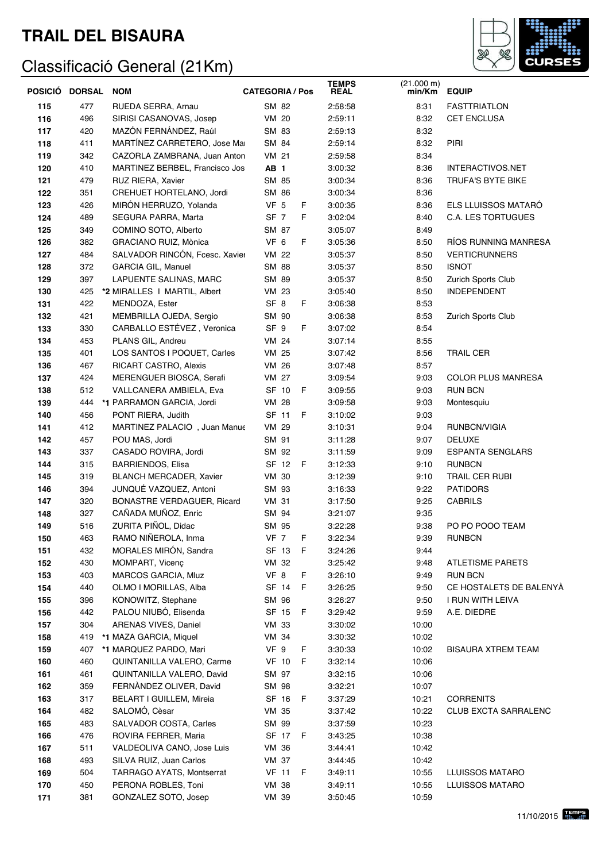

| POSICIÓ DORSAL |     | <b>NOM</b>                        | <b>CATEGORIA / Pos</b> | <b>TEMPS</b><br><b>REAL</b> | (21.000 m)<br>min/Km | <b>EQUIP</b>                |
|----------------|-----|-----------------------------------|------------------------|-----------------------------|----------------------|-----------------------------|
| 115            | 477 | RUEDA SERRA, Arnau                | SM 82                  | 2:58:58                     | 8:31                 | <b>FASTTRIATLON</b>         |
| 116            | 496 | SIRISI CASANOVAS, Josep           | VM 20                  | 2:59:11                     | 8:32                 | <b>CET ENCLUSA</b>          |
| 117            | 420 | MAZÓN FERNÁNDEZ, Raúl             | SM 83                  | 2:59:13                     | 8:32                 |                             |
| 118            | 411 | MARTÍNEZ CARRETERO, Jose Mai      | SM 84                  | 2:59:14                     | 8:32                 | PIRI                        |
| 119            | 342 | CAZORLA ZAMBRANA, Juan Anton      | VM 21                  | 2:59:58                     | 8:34                 |                             |
| 120            | 410 | MARTINEZ BERBEL, Francisco Jos    | AB <sub>1</sub>        | 3:00:32                     | 8:36                 | INTERACTIVOS.NET            |
| 121            | 479 | RUZ RIERA, Xavier                 | SM 85                  | 3:00:34                     | 8:36                 | <b>TRUFA'S BYTE BIKE</b>    |
| 122            | 351 | CREHUET HORTELANO, Jordi          | SM 86                  | 3:00:34                     | 8:36                 |                             |
| 123            | 426 | MIRÓN HERRUZO, Yolanda            | VF <sub>5</sub><br>F   | 3:00:35                     | 8:36                 | ELS LLUISSOS MATARÓ         |
| 124            | 489 | SEGURA PARRA, Marta               | SF 7<br>F              | 3:02:04                     | 8:40                 | <b>C.A. LES TORTUGUES</b>   |
| 125            | 349 | COMINO SOTO, Alberto              | SM 87                  | 3:05:07                     | 8:49                 |                             |
| 126            | 382 | GRACIANO RUIZ, Mònica             | VF 6<br>F              | 3:05:36                     | 8:50                 | RÍOS RUNNING MANRESA        |
| 127            | 484 | SALVADOR RINCÓN, Fcesc. Xavier    | VM 22                  | 3:05:37                     | 8:50                 | <b>VERTICRUNNERS</b>        |
| 128            | 372 | <b>GARCIA GIL, Manuel</b>         | SM 88                  | 3:05:37                     | 8:50                 | <b>ISNOT</b>                |
| 129            | 397 | LAPUENTE SALINAS, MARC            | SM 89                  | 3:05:37                     | 8:50                 | Zurich Sports Club          |
| 130            | 425 | *2 MIRALLES   MARTIL, Albert      | <b>VM 23</b>           | 3:05:40                     | 8:50                 | <b>INDEPENDENT</b>          |
| 131            | 422 | MENDOZA, Ester                    | SF <sub>8</sub><br>F   | 3:06:38                     | 8:53                 |                             |
| 132            | 421 | MEMBRILLA OJEDA, Sergio           | SM 90                  | 3:06:38                     | 8:53                 | Zurich Sports Club          |
| 133            | 330 | CARBALLO ESTÉVEZ, Veronica        | SF <sub>9</sub><br>F   | 3:07:02                     | 8:54                 |                             |
| 134            | 453 | PLANS GIL, Andreu                 | <b>VM 24</b>           | 3:07:14                     | 8:55                 |                             |
| 135            | 401 | LOS SANTOS I POQUET, Carles       | <b>VM 25</b>           | 3:07:42                     | 8:56                 | <b>TRAIL CER</b>            |
| 136            | 467 | <b>RICART CASTRO, Alexis</b>      | VM 26                  | 3:07:48                     | 8:57                 |                             |
| 137            | 424 | MERENGUER BIOSCA, Serafi          | <b>VM 27</b>           | 3:09:54                     | 9:03                 | <b>COLOR PLUS MANRESA</b>   |
| 138            | 512 | VALLCANERA AMBIELA, Eva           | SF 10<br>F             | 3:09:55                     | 9:03                 | <b>RUN BCN</b>              |
| 139            | 444 | *1 PARRAMON GARCIA, Jordi         | <b>VM 28</b>           | 3:09:58                     | 9:03                 | Montesquiu                  |
| 140            | 456 | PONT RIERA, Judith                | SF 11<br>F.            | 3:10:02                     | 9:03                 |                             |
| 141            | 412 | MARTINEZ PALACIO, Juan Manue      | <b>VM 29</b>           | 3:10:31                     | 9:04                 | RUNBCN/VIGIA                |
| 142            | 457 | POU MAS, Jordi                    | SM 91                  | 3:11:28                     | 9:07                 | <b>DELUXE</b>               |
| 143            | 337 | CASADO ROVIRA, Jordi              | SM 92                  | 3:11:59                     | 9:09                 | <b>ESPANTA SENGLARS</b>     |
| 144            | 315 | <b>BARRIENDOS, Elisa</b>          | SF 12<br>F             | 3:12:33                     | 9:10                 | <b>RUNBCN</b>               |
| 145            | 319 | <b>BLANCH MERCADER, Xavier</b>    | <b>VM 30</b>           | 3:12:39                     | 9:10                 | TRAIL CER RUBI              |
| 146            | 394 | JUNQUÉ VAZQUEZ, Antoni            | SM 93                  | 3:16:33                     | 9:22                 | <b>PATIDORS</b>             |
| 147            | 320 | <b>BONASTRE VERDAGUER, Ricard</b> | <b>VM 31</b>           | 3:17:50                     | 9:25                 | <b>CABRILS</b>              |
| 148            | 327 | CAÑADA MUÑOZ, Enric               | SM 94                  | 3:21:07                     | 9:35                 |                             |
| 149            | 516 | ZURITA PIÑOL, Didac               | SM 95                  | 3:22:28                     | 9:38                 | PO PO POOO TEAM             |
| 150            | 463 | RAMO NIÑEROLA, Inma               | VF 7<br>F              | 3:22:34                     | 9:39                 | <b>RUNBCN</b>               |
| 151            | 432 | MORALES MIRON, Sandra             | SF 13 F                | 3:24:26                     | 9:44                 |                             |
| 152            | 430 | MOMPART, Vicenc                   | VM 32                  | 3:25:42                     | 9:48                 | <b>ATLETISME PARETS</b>     |
| 153            | 403 | MARCOS GARCIA, Mluz               | VF 8<br>F              | 3:26:10                     | 9:49                 | <b>RUN BCN</b>              |
| 154            | 440 | OLMO I MORILLAS, Alba             | SF 14<br>F             | 3:26:25                     | 9:50                 | CE HOSTALETS DE BALENYÀ     |
| 155            | 396 | KONOWITZ, Stephane                | SM 96                  | 3:26:27                     | 9:50                 | I RUN WITH LEIVA            |
| 156            | 442 | PALOU NIUBÓ, Elisenda             | SF 15<br>F             | 3:29:42                     | 9:59                 | A.E. DIEDRE                 |
| 157            | 304 | ARENAS VIVES, Daniel              | VM 33                  | 3:30:02                     | 10:00                |                             |
| 158            | 419 | *1 MAZA GARCIA, Miquel            | VM 34                  | 3:30:32                     | 10:02                |                             |
| 159            | 407 | *1 MARQUEZ PARDO, Mari            | VF 9<br>F              | 3:30:33                     | 10:02                | <b>BISAURA XTREM TEAM</b>   |
| 160            | 460 | QUINTANILLA VALERO, Carme         | <b>VF 10</b><br>- F    | 3:32:14                     | 10:06                |                             |
| 161            | 461 | QUINTANILLA VALERO, David         | SM 97                  | 3:32:15                     | 10:06                |                             |
| 162            | 359 | FERNANDEZ OLIVER, David           | SM 98                  | 3:32:21                     | 10:07                |                             |
| 163            | 317 | BELART I GUILLEM, Mireia          | SF 16<br>- F           | 3:37:29                     | 10:21                | <b>CORRENITS</b>            |
| 164            | 482 | SALOMO, Cèsar                     | VM 35                  | 3:37:42                     | 10:22                | <b>CLUB EXCTA SARRALENC</b> |
| 165            | 483 | SALVADOR COSTA, Carles            | SM 99                  | 3:37:59                     | 10:23                |                             |
| 166            | 476 | ROVIRA FERRER, Maria              | SF 17<br>F             | 3:43:25                     | 10:38                |                             |
| 167            | 511 | VALDEOLIVA CANO, Jose Luis        | VM 36                  | 3:44:41                     | 10:42                |                             |
| 168            | 493 | SILVA RUIZ, Juan Carlos           | VM 37                  | 3:44:45                     | 10:42                |                             |
| 169            | 504 | <b>TARRAGO AYATS, Montserrat</b>  | <b>VF 11</b><br>F      | 3:49:11                     | 10:55                | <b>LLUISSOS MATARO</b>      |
| 170            | 450 | PERONA ROBLES, Toni               | <b>VM 38</b>           | 3:49:11                     | 10:55                | <b>LLUISSOS MATARO</b>      |
| 171            | 381 | GONZALEZ SOTO, Josep              | VM 39                  | 3:50:45                     | 10:59                |                             |